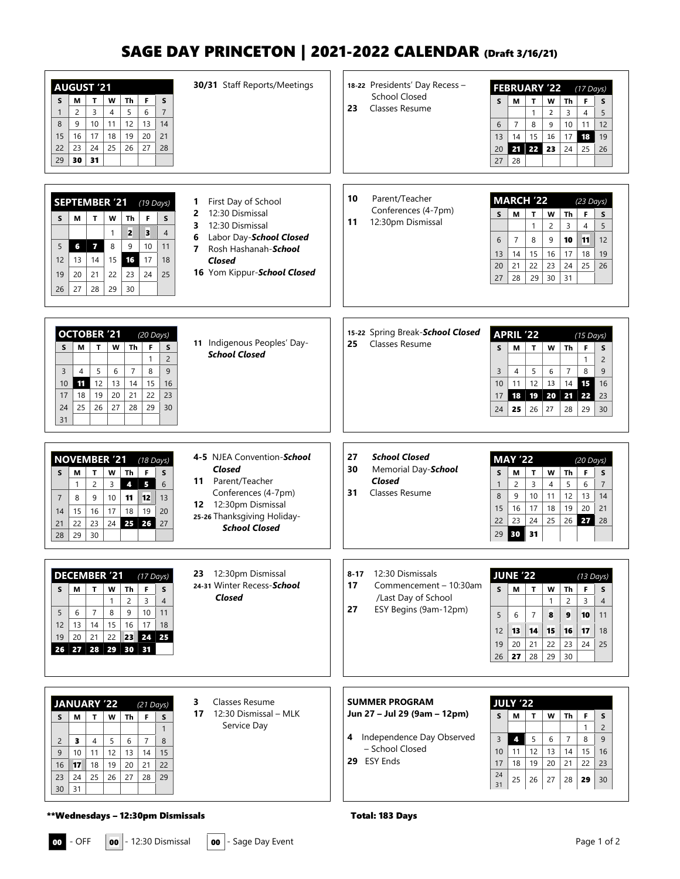# SAGE DAY PRINCETON | 2021-2022 CALENDAR (Draft 3/16/21)

| <b>AUGUST '21</b><br>Th<br>F<br>М<br>T<br>W<br>S<br>S<br>5<br>6<br>3<br>$\overline{4}$<br>$\overline{c}$<br>$\overline{7}$<br>$\mathbf{1}$<br>12<br>8<br>9<br>10<br>11<br>13<br>14<br>18<br>19<br>20<br>16<br>17<br>21<br>15<br>23<br>25<br>26<br>22<br>24<br>27<br>28<br>29<br>30<br>31                      | 30/31 Staff Reports/Meetings                                                                                                                                                   | 18-22 Presidents' Day Recess -<br><b>School Closed</b><br>23<br>Classes Resume                                            | <b>FEBRUARY '22</b><br>$(17$ Days)<br>W<br>M<br>T.<br>Th<br>F<br>S<br>S<br>$\mathbf{1}$<br>3<br>$\overline{4}$<br>$\overline{2}$<br>5<br>$\overline{7}$<br>8<br>9<br>10<br>11<br>12<br>6<br>18<br>14<br>15<br>16<br>17<br>19<br>13<br>21 22 23<br>24<br>20<br>25<br>26<br>27<br>28                                |
|---------------------------------------------------------------------------------------------------------------------------------------------------------------------------------------------------------------------------------------------------------------------------------------------------------------|--------------------------------------------------------------------------------------------------------------------------------------------------------------------------------|---------------------------------------------------------------------------------------------------------------------------|-------------------------------------------------------------------------------------------------------------------------------------------------------------------------------------------------------------------------------------------------------------------------------------------------------------------|
| <b>SEPTEMBER '21</b><br>$(19$ Days)<br>T<br>М<br>W<br>Th<br>F<br>S<br>S<br>2<br>3<br>$\overline{4}$<br>$\mathbf{1}$<br>$6\phantom{a}6$<br>8<br>9<br>5<br>$\overline{7}$<br>10<br>11<br>16<br>17<br>14<br>15<br>18<br>12<br>13<br>21<br>22<br>23<br>25<br>19<br>20<br>24<br>29<br>30<br>26<br>27<br>28         | First Day of School<br>1<br>12:30 Dismissal<br>2<br>12:30 Dismissal<br>3<br>Labor Day-School Closed<br>6<br>Rosh Hashanah-School<br>7<br>Closed<br>16 Yom Kippur-School Closed | 10<br>Parent/Teacher<br>Conferences (4-7pm)<br>11<br>12:30pm Dismissal                                                    | <b>MARCH '22</b><br>$(23$ Days)<br>T<br>F<br>S<br>м<br>W<br>Th<br>S<br>$\mathbf{1}$<br>$\overline{c}$<br>3<br>$\overline{4}$<br>5<br>11<br>6<br>$\overline{7}$<br>8<br>9<br>10<br>12<br>15<br>16<br>17<br>18<br>13<br>14<br>19<br>21<br>22<br>23<br>24<br>25<br>20<br>26<br>29<br>30<br>27<br>28<br>31            |
| <b>OCTOBER '21</b><br>$(20$ Days)<br>$\mathbf{T}$<br><b>Th</b><br>M<br>W<br>F<br>S<br>S<br>$\mathbf{1}$<br>$\overline{2}$<br>5<br>$\overline{7}$<br>8<br>9<br>6<br>3<br>4<br>11<br>12<br>13<br>15<br>14<br>16<br>10<br>19<br>20<br>21<br>22<br>18<br>23<br>17<br>25<br>26<br>27<br>28<br>29<br>24<br>30<br>31 | 11 Indigenous Peoples' Day-<br><b>School Closed</b>                                                                                                                            | 15-22 Spring Break-School Closed<br>Classes Resume<br>25                                                                  | <b>APRIL '22</b><br>$(15$ Days)<br>T.<br>W<br>S<br>М<br><b>Th</b><br>F<br>S<br>$\mathbf{1}$<br>$\overline{2}$<br>$\overline{7}$<br>8<br>9<br>3<br>5<br>6<br>$\overline{4}$<br>12<br>13<br>14<br>15<br>11<br>10<br>16<br>18<br>$19 \mid 20 \mid$<br>21<br>22<br>23<br>17<br>25<br>24<br>26<br>27<br>28<br>29<br>30 |
| <b>NOVEMBER '21</b><br>$(18$ Days)<br>Th<br>$\mathsf F$<br>М<br>T<br>W<br>S<br>S<br>$\overline{c}$<br>$6\,$<br>$\overline{5}$<br>3<br>4<br>1<br>$\overline{7}$<br>8<br>11<br>12<br>13<br>9<br>10<br>16<br>17<br>18<br>19<br>20<br>15<br>14<br>24 25 26<br>21<br>22<br>23<br>27<br>29<br>30<br>28              | 4-5 NJEA Convention-School<br>Closed<br>11 Parent/Teacher<br>Conferences (4-7pm)<br>12 12:30pm Dismissal<br>25-26 Thanksgiving Holiday-<br><b>School Closed</b>                | 27<br><b>School Closed</b><br>30<br>Memorial Day-School<br>Closed<br>31<br>Classes Resume                                 | <b>MAY '22</b><br>$(20$ Days)<br>M<br>T<br>W<br><b>Th</b><br>F<br>$\mathsf{s}$<br>S<br>3<br>$\overline{c}$<br>6<br>$\overline{7}$<br>$\mathbf{1}$<br>4<br>5<br>8<br>9<br>10<br>11<br>12<br>13<br>14<br>19<br>20<br>15<br>16<br>17<br>18<br>21<br>23<br>25<br>26<br>27<br>22<br>24<br>28<br>30<br>31<br>29         |
| <b>DECEMBER '21</b><br>$(17$ Days)<br>М<br>T.<br>W<br>Th<br>F<br>S<br>S.<br>$\mathbf{1}$<br>$\overline{c}$<br>3<br>$\overline{4}$<br>5<br>$\overline{7}$<br>8<br>9<br>10<br>6<br>11<br>15<br>16<br>17<br>14<br>18<br>12<br>13<br>22 23 24 25<br>19<br>20<br>21<br>26 27 28 29 30 31                           | 23<br>12:30pm Dismissal<br>24-31 Winter Recess-School<br><b>Closed</b>                                                                                                         | $8 - 17$<br>12:30 Dismissals<br>17<br>Commencement - 10:30am<br>/Last Day of School<br>ESY Begins (9am-12pm)<br>27        | <b>JUNE '22</b><br>$(13$ Days)<br>М<br>W<br><b>Th</b><br>F<br>S<br>$\mathbf{T}$<br>S<br>2<br>3<br>$\mathbf{1}$<br>$\overline{4}$<br>5<br>6<br>$\overline{7}$<br>8<br>9<br>10<br>11<br>13<br>14<br>17<br>12<br>15<br>16<br>18<br>22<br>21<br>23<br>24<br>19<br>20<br>25<br>29<br>30<br>27<br>28<br>26              |
| <b>JANUARY '22</b><br>$(21$ Days)<br>F<br>$\mathbf{T}$<br>W<br>Th<br>м<br>S<br>S<br>$\mathbf{1}$<br>8<br>$\overline{2}$<br>3<br>4<br>5<br>6<br>7<br>12<br>15<br>9<br>11<br>13<br>14<br>10<br>19<br>20<br>17<br>18<br>21<br>22<br>16<br>25<br>26<br>27<br>29<br>23<br>24<br>28<br>30<br>31                     | Classes Resume<br>3<br>17<br>12:30 Dismissal – MLK<br>Service Day                                                                                                              | <b>SUMMER PROGRAM</b><br>Jun 27 - Jul 29 (9am - 12pm)<br>Independence Day Observed<br>4<br>- School Closed<br>29 ESY Ends | <b>JULY '22</b><br>М<br>T<br>W<br>S<br>Th<br>F<br>S<br>$\mathbf{1}$<br>$\overline{2}$<br>$\overline{\mathbf{4}}$<br>5<br>8<br>3<br>6<br>$\overline{7}$<br>9<br>12<br>13<br>14<br>15<br>10<br>11<br>16<br>19<br>20<br>21<br>22<br>18<br>23<br>17<br>24<br>25<br>27<br>28<br>26<br>29<br>30<br>31                   |

### \*\*Wednesdays – 12:30pm Dismissals Total: 183 Days